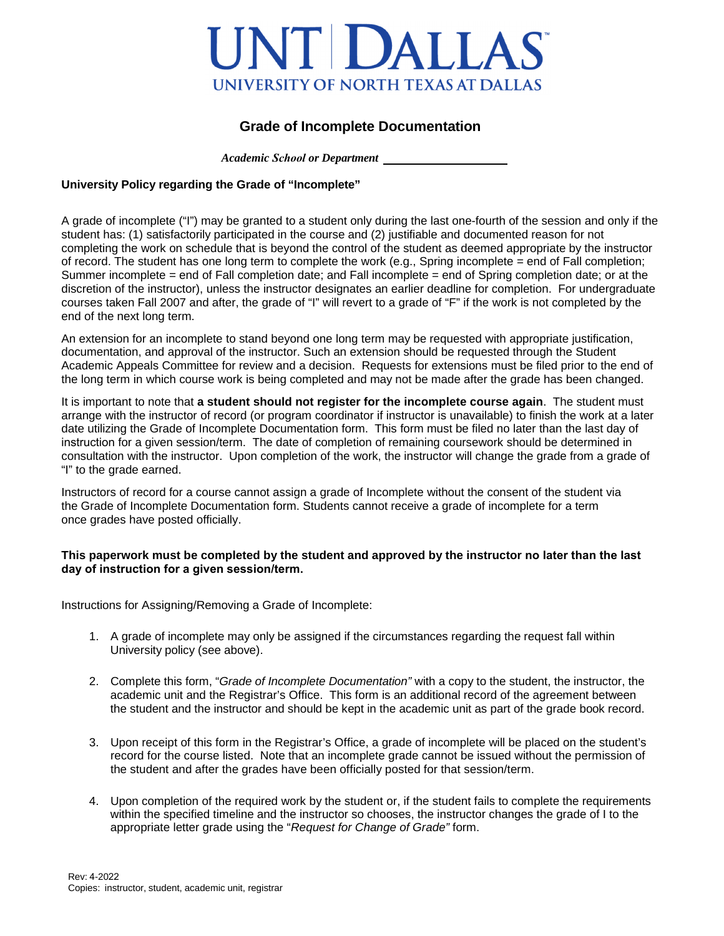## INTI DALLAS UNIVERSITY OF NORTH TEXAS AT DALLAS

## **Grade of Incomplete Documentation**

 *Academic School or Department*

## **University Policy regarding the Grade of "Incomplete"**

A grade of incomplete ("I") may be granted to a student only during the last one-fourth of the session and only if the student has: (1) satisfactorily participated in the course and (2) justifiable and documented reason for not completing the work on schedule that is beyond the control of the student as deemed appropriate by the instructor of record. The student has one long term to complete the work (e.g., Spring incomplete = end of Fall completion; Summer incomplete = end of Fall completion date; and Fall incomplete = end of Spring completion date; or at the discretion of the instructor), unless the instructor designates an earlier deadline for completion. For undergraduate courses taken Fall 2007 and after, the grade of "I" will revert to a grade of "F" if the work is not completed by the end of the next long term.

An extension for an incomplete to stand beyond one long term may be requested with appropriate justification, documentation, and approval of the instructor. Such an extension should be requested through the Student Academic Appeals Committee for review and a decision. Requests for extensions must be filed prior to the end of the long term in which course work is being completed and may not be made after the grade has been changed.

It is important to note that **a student should not register for the incomplete course again**. The student must arrange with the instructor of record (or program coordinator if instructor is unavailable) to finish the work at a later date utilizing the Grade of Incomplete Documentation form. This form must be filed no later than the last day of instruction for a given session/term. The date of completion of remaining coursework should be determined in consultation with the instructor. Upon completion of the work, the instructor will change the grade from a grade of "I" to the grade earned.

Instructors of record for a course cannot assign a grade of Incomplete without the consent of the student via the Grade of Incomplete Documentation form. Students cannot receive a grade of incomplete for a term once grades have posted officially.

## **This paperwork must be completed by the student and approved by the instructor no later than the last day of instruction for a given session/term.**

Instructions for Assigning/Removing a Grade of Incomplete:

- 1. A grade of incomplete may only be assigned if the circumstances regarding the request fall within University policy (see above).
- 2. Complete this form, "*Grade of Incomplete Documentation"* with a copy to the student, the instructor, the academic unit and the Registrar's Office. This form is an additional record of the agreement between the student and the instructor and should be kept in the academic unit as part of the grade book record.
- 3. Upon receipt of this form in the Registrar's Office, a grade of incomplete will be placed on the student's record for the course listed. Note that an incomplete grade cannot be issued without the permission of the student and after the grades have been officially posted for that session/term.
- 4. Upon completion of the required work by the student or, if the student fails to complete the requirements within the specified timeline and the instructor so chooses, the instructor changes the grade of I to the appropriate letter grade using the "*Request for Change of Grade"* form.